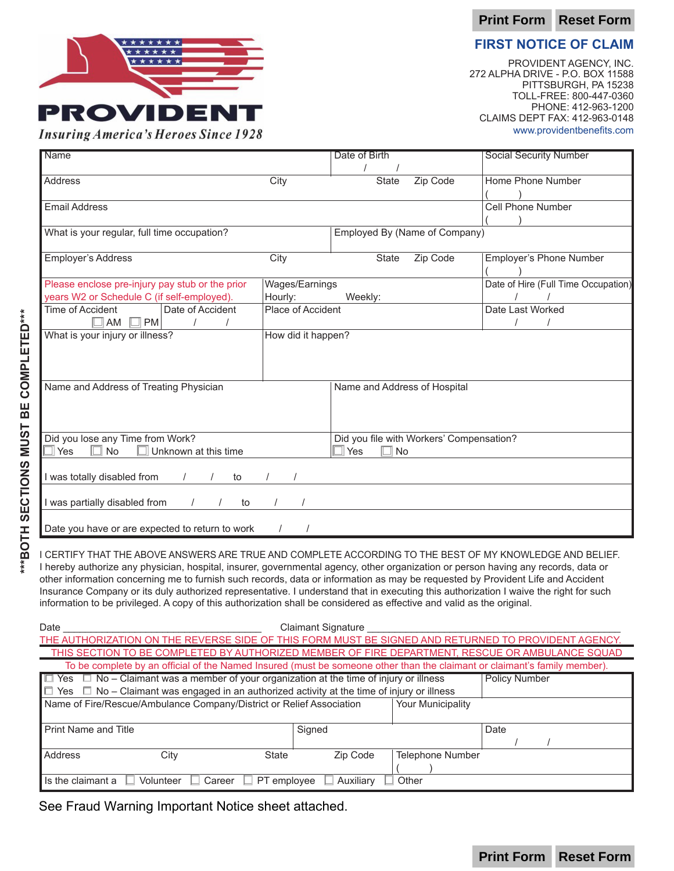**Print Form Reset Form**

# \*\*\*\*\*\* **PROVIDEN Insuring America's Heroes Since 1928**

**FIRST NOTICE OF CLAIM**

PROVIDENT AGENCY, INC. 272 ALPHA DRIVE - P.O. BOX 11588 PITTSBURGH, PA 15238 TOLL-FREE: 800-447-0360 PHONE: 412-963-1200 CLAIMS DEPT FAX: 412-963-0148 www.providentbenefits.com

**Print Form Reset Form**

| <b>Name</b>                                       |                    | Date of Birth                |                                          | <b>Social Security Number</b>       |  |  |
|---------------------------------------------------|--------------------|------------------------------|------------------------------------------|-------------------------------------|--|--|
|                                                   |                    |                              |                                          |                                     |  |  |
| <b>Address</b>                                    | City               | State                        | Zip Code                                 | Home Phone Number                   |  |  |
|                                                   |                    |                              |                                          |                                     |  |  |
| <b>Email Address</b>                              |                    |                              |                                          | <b>Cell Phone Number</b>            |  |  |
|                                                   |                    |                              |                                          |                                     |  |  |
| What is your regular, full time occupation?       |                    |                              | Employed By (Name of Company)            |                                     |  |  |
|                                                   |                    |                              |                                          |                                     |  |  |
| <b>Employer's Address</b>                         | City               | <b>State</b>                 | Zip Code                                 | Employer's Phone Number             |  |  |
|                                                   |                    |                              |                                          |                                     |  |  |
| Please enclose pre-injury pay stub or the prior   | Wages/Earnings     |                              |                                          | Date of Hire (Full Time Occupation) |  |  |
| years W2 or Schedule C (if self-employed).        | Hourly:            | Weekly:                      |                                          |                                     |  |  |
| Date of Accident<br>Time of Accident              | Place of Accident  |                              |                                          | Date Last Worked                    |  |  |
| $\Box$ AM $\Box$ PM                               |                    |                              |                                          |                                     |  |  |
| What is your injury or illness?                   | How did it happen? |                              |                                          |                                     |  |  |
|                                                   |                    |                              |                                          |                                     |  |  |
|                                                   |                    |                              |                                          |                                     |  |  |
|                                                   |                    |                              |                                          |                                     |  |  |
| Name and Address of Treating Physician            |                    |                              |                                          |                                     |  |  |
|                                                   |                    | Name and Address of Hospital |                                          |                                     |  |  |
|                                                   |                    |                              |                                          |                                     |  |  |
|                                                   |                    |                              |                                          |                                     |  |  |
|                                                   |                    |                              | Did you file with Workers' Compensation? |                                     |  |  |
| Did you lose any Time from Work?                  |                    |                              |                                          |                                     |  |  |
| <b>No</b><br>$\sqcap$ Yes<br>Unknown at this time |                    | $\Box$ Yes<br>$\Box$ No      |                                          |                                     |  |  |
|                                                   |                    |                              |                                          |                                     |  |  |
| I was totally disabled from<br>to<br>$\prime$     |                    |                              |                                          |                                     |  |  |
|                                                   |                    |                              |                                          |                                     |  |  |
| I was partially disabled from<br>to               |                    |                              |                                          |                                     |  |  |
|                                                   |                    |                              |                                          |                                     |  |  |
| Date you have or are expected to return to work   |                    |                              |                                          |                                     |  |  |

I CERTIFY THAT THE ABOVE ANSWERS ARE TRUE AND COMPLETE ACCORDING TO THE BEST OF MY KNOWLEDGE AND BELIEF. I hereby authorize any physician, hospital, insurer, governmental agency, other organization or person having any records, data or other information concerning me to furnish such records, data or information as may be requested by Provident Life and Accident Insurance Company or its duly authorized representative. I understand that in executing this authorization I waive the right for such information to be privileged. A copy of this authorization shall be considered as effective and valid as the original.

| Date                                                                                                                      | <b>Claimant Signature</b> |                         |      |  |  |  |  |
|---------------------------------------------------------------------------------------------------------------------------|---------------------------|-------------------------|------|--|--|--|--|
| THE AUTHORIZATION ON THE REVERSE SIDE OF THIS FORM MUST BE SIGNED AND RETURNED TO PROVIDENT AGENCY.                       |                           |                         |      |  |  |  |  |
| THIS SECTION TO BE COMPLETED BY AUTHORIZED MEMBER OF FIRE DEPARTMENT, RESCUE OR AMBULANCE SQUAD                           |                           |                         |      |  |  |  |  |
| To be complete by an official of the Named Insured (must be someone other than the claimant or claimant's family member). |                           |                         |      |  |  |  |  |
| $\Box$ Yes $\Box$ No – Claimant was a member of your organization at the time of injury or illness                        | <b>Policy Number</b>      |                         |      |  |  |  |  |
| $\Box$ Yes $\Box$ No – Claimant was engaged in an authorized activity at the time of injury or illness                    |                           |                         |      |  |  |  |  |
| Name of Fire/Rescue/Ambulance Company/District or Relief Association                                                      |                           |                         |      |  |  |  |  |
|                                                                                                                           |                           |                         |      |  |  |  |  |
| <b>Print Name and Title</b>                                                                                               | Signed                    |                         | Date |  |  |  |  |
|                                                                                                                           |                           |                         |      |  |  |  |  |
| Address<br>State<br>City                                                                                                  | Zip Code                  | <b>Telephone Number</b> |      |  |  |  |  |
|                                                                                                                           |                           |                         |      |  |  |  |  |
| Auxiliary<br>Career<br>Other<br>Is the claimant a<br>Volunteer<br>PT employee                                             |                           |                         |      |  |  |  |  |
|                                                                                                                           |                           |                         |      |  |  |  |  |

See Fraud Warning Important Notice sheet attached.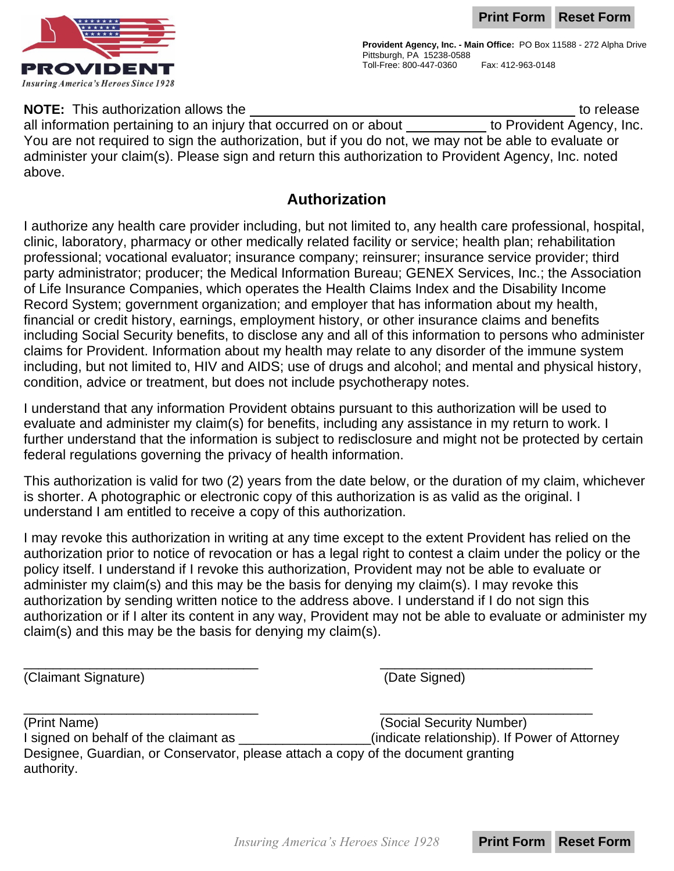**Print Form Reset Form**



**Provident Agency, Inc. - Main Office:** PO Box 11588 - 272 Alpha Drive Pittsburgh, PA 15238-0588 Toll-Free: 800-447-0360 Fax: 412-963-0148

**NOTE:** This authorization allows the to release to release to release

all information pertaining to an injury that occurred on or about  $\overline{\phantom{a}}$  to Provident Agency, Inc. You are not required to sign the authorization, but if you do not, we may not be able to evaluate or administer your claim(s). Please sign and return this authorization to Provident Agency, Inc. noted above.

#### **Authorization**

I authorize any health care provider including, but not limited to, any health care professional, hospital, clinic, laboratory, pharmacy or other medically related facility or service; health plan; rehabilitation professional; vocational evaluator; insurance company; reinsurer; insurance service provider; third party administrator; producer; the Medical Information Bureau; GENEX Services, Inc.; the Association of Life Insurance Companies, which operates the Health Claims Index and the Disability Income Record System; government organization; and employer that has information about my health, financial or credit history, earnings, employment history, or other insurance claims and benefits including Social Security benefits, to disclose any and all of this information to persons who administer claims for Provident. Information about my health may relate to any disorder of the immune system including, but not limited to, HIV and AIDS; use of drugs and alcohol; and mental and physical history, condition, advice or treatment, but does not include psychotherapy notes.

I understand that any information Provident obtains pursuant to this authorization will be used to evaluate and administer my claim(s) for benefits, including any assistance in my return to work. I further understand that the information is subject to redisclosure and might not be protected by certain federal regulations governing the privacy of health information.

This authorization is valid for two (2) years from the date below, or the duration of my claim, whichever is shorter. A photographic or electronic copy of this authorization is as valid as the original. I understand I am entitled to receive a copy of this authorization.

I may revoke this authorization in writing at any time except to the extent Provident has relied on the authorization prior to notice of revocation or has a legal right to contest a claim under the policy or the policy itself. I understand if I revoke this authorization, Provident may not be able to evaluate or administer my claim(s) and this may be the basis for denying my claim(s). I may revoke this authorization by sending written notice to the address above. I understand if I do not sign this authorization or if I alter its content in any way, Provident may not be able to evaluate or administer my claim(s) and this may be the basis for denying my claim(s).

(Claimant Signature) (Date Signed)

\_\_\_\_\_\_\_\_\_\_\_\_\_\_\_\_\_\_\_\_\_\_\_\_\_\_\_\_\_\_\_\_ \_\_\_\_\_\_\_\_\_\_\_\_\_\_\_\_\_\_\_\_\_\_\_\_\_\_\_\_\_ (Print Name) (Social Security Number) I signed on behalf of the claimant as \_\_\_\_\_\_\_\_\_\_\_\_\_\_\_\_\_\_(indicate relationship). If Power of Attorney Designee, Guardian, or Conservator, please attach a copy of the document granting authority.

 $\overline{\phantom{a}}$  , and the contract of the contract of the contract of the contract of the contract of the contract of the contract of the contract of the contract of the contract of the contract of the contract of the contrac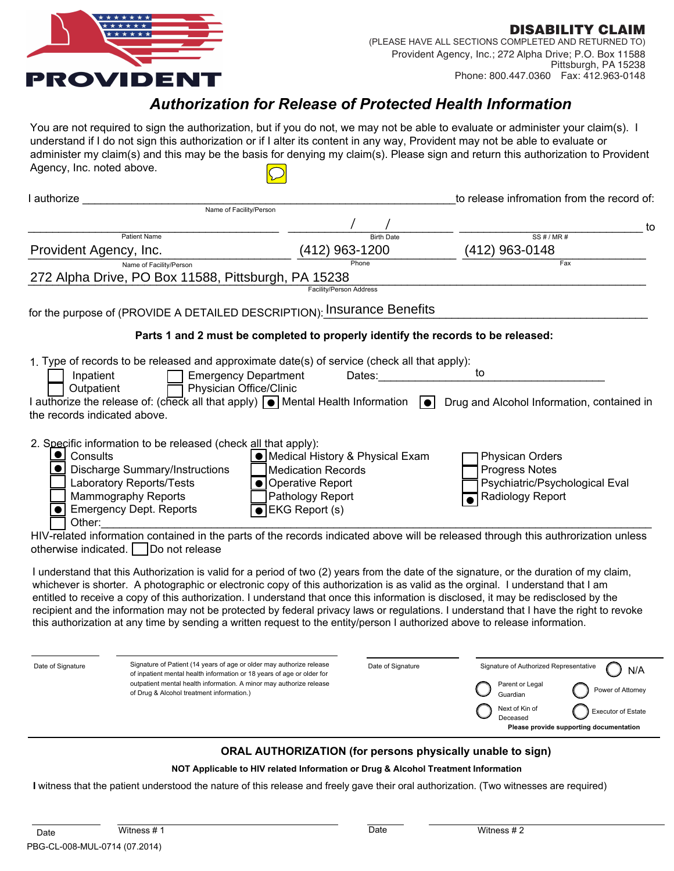

**DISABILITY CLAIM** (PLEASE HAVE ALL SECTIONS COMPLETED AND RETURNED TO) Provident Agency, Inc.; 272 Alpha Drive; P.O. Box 11588 Pittsburgh, PA 15238 Phone: 800.447.0360 Fax: 412.963-0148

#### *Authorization for Release of Protected Health Information*

You are not required to sign the authorization, but if you do not, we may not be able to evaluate or administer your claim(s). I understand if I do not sign this authorization or if I alter its content in any way, Provident may not be able to evaluate or administer my claim(s) and this may be the basis for denying my claim(s). Please sign and return this authorization to Provident Agency, Inc. noted above.

| I authorize                                                                                                                                                                                                                                                         |                                                                                                                                                                                                                       |                   | to release infromation from the record of:                                                                                                                                                                                                                                                                                                                                                                                  |
|---------------------------------------------------------------------------------------------------------------------------------------------------------------------------------------------------------------------------------------------------------------------|-----------------------------------------------------------------------------------------------------------------------------------------------------------------------------------------------------------------------|-------------------|-----------------------------------------------------------------------------------------------------------------------------------------------------------------------------------------------------------------------------------------------------------------------------------------------------------------------------------------------------------------------------------------------------------------------------|
|                                                                                                                                                                                                                                                                     | Name of Facility/Person                                                                                                                                                                                               |                   |                                                                                                                                                                                                                                                                                                                                                                                                                             |
| <b>Patient Name</b>                                                                                                                                                                                                                                                 |                                                                                                                                                                                                                       | <b>Birth Date</b> | to<br>SS#/MR#                                                                                                                                                                                                                                                                                                                                                                                                               |
| Provident Agency, Inc.                                                                                                                                                                                                                                              | (412) 963-1200                                                                                                                                                                                                        |                   | (412) 963-0148                                                                                                                                                                                                                                                                                                                                                                                                              |
| Name of Facility/Person<br>272 Alpha Drive, PO Box 11588, Pittsburgh, PA 15238                                                                                                                                                                                      |                                                                                                                                                                                                                       | Phone             | Fax                                                                                                                                                                                                                                                                                                                                                                                                                         |
|                                                                                                                                                                                                                                                                     | Facility/Person Address                                                                                                                                                                                               |                   |                                                                                                                                                                                                                                                                                                                                                                                                                             |
| for the purpose of (PROVIDE A DETAILED DESCRIPTION): Insurance Benefits                                                                                                                                                                                             |                                                                                                                                                                                                                       |                   |                                                                                                                                                                                                                                                                                                                                                                                                                             |
|                                                                                                                                                                                                                                                                     | Parts 1 and 2 must be completed to properly identify the records to be released:                                                                                                                                      |                   |                                                                                                                                                                                                                                                                                                                                                                                                                             |
| 1. Type of records to be released and approximate date(s) of service (check all that apply):<br>Inpatient<br>Outpatient<br>I authorize the release of: (check all that apply) $\bigcirc$ Mental Health Information                                                  | <b>Emergency Department</b><br>Physician Office/Clinic                                                                                                                                                                | Dates:<br> ●      | to<br>Drug and Alcohol Information, contained in                                                                                                                                                                                                                                                                                                                                                                            |
| the records indicated above.                                                                                                                                                                                                                                        |                                                                                                                                                                                                                       |                   |                                                                                                                                                                                                                                                                                                                                                                                                                             |
| 2. Specific information to be released (check all that apply):<br>Consults<br><b>Discharge Summary/Instructions</b><br>Laboratory Reports/Tests<br><b>Mammography Reports</b><br><b>Emergency Dept. Reports</b><br>Other:<br>otherwise indicated.<br>Do not release | O Medical History & Physical Exam<br><b>Medication Records</b><br><b>Operative Report</b><br>Pathology Report<br><b>EKG Report (s)</b><br>$\bullet$                                                                   |                   | <b>Physican Orders</b><br><b>Progress Notes</b><br>Psychiatric/Psychological Eval<br>Radiology Report<br>HIV-related information contained in the parts of the records indicated above will be released through this authrorization unless                                                                                                                                                                                  |
| whichever is shorter. A photographic or electronic copy of this authorization is as valid as the orginal. I understand that I am<br>this authorization at any time by sending a written request to the entity/person I authorized above to release information.     |                                                                                                                                                                                                                       |                   | I understand that this Authorization is valid for a period of two (2) years from the date of the signature, or the duration of my claim,<br>entitled to receive a copy of this authorization. I understand that once this information is disclosed, it may be redisclosed by the<br>recipient and the information may not be protected by federal privacy laws or regulations. I understand that I have the right to revoke |
| Date of Signature<br>of Drug & Alcohol treatment information.)                                                                                                                                                                                                      | Signature of Patient (14 years of age or older may authorize release<br>of inpatient mental health information or 18 years of age or older for<br>outpatient mental health information. A minor may authorize release | Date of Signature | Signature of Authorized Representative<br>N/A<br>Parent or Legal<br>Power of Attorney<br>Guardian<br>Next of Kin of<br><b>Executor of Estate</b><br>Deceased<br>Please provide supporting documentation                                                                                                                                                                                                                     |
|                                                                                                                                                                                                                                                                     | <b>ORAL AUTHORIZATION (for persons physically unable to sign)</b>                                                                                                                                                     |                   |                                                                                                                                                                                                                                                                                                                                                                                                                             |

### **NOT Applicable to HIV related Information or Drug & Alcohol Treatment Information**

**I** witness that the patient understood the nature of this release and freely gave their oral authorization. (Two witnesses are required)